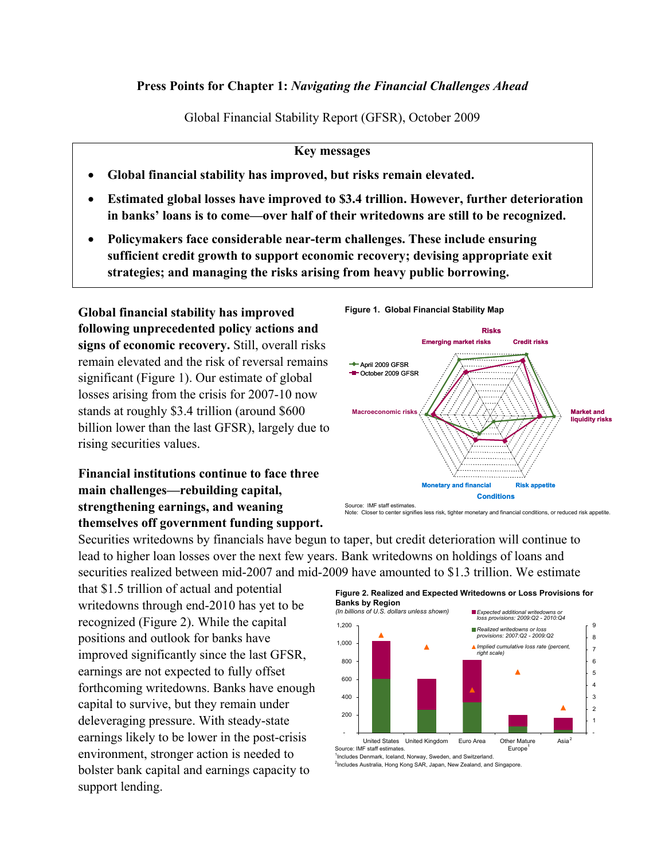#### **Press Points for Chapter 1:** *Navigating the Financial Challenges Ahead*

Global Financial Stability Report (GFSR), October 2009

#### **Key messages**

- **Global financial stability has improved, but risks remain elevated.**
- **Estimated global losses have improved to \$3.4 trillion. However, further deterioration in banks' loans is to come—over half of their writedowns are still to be recognized.**
- **Policymakers face considerable near-term challenges. These include ensuring sufficient credit growth to support economic recovery; devising appropriate exit strategies; and managing the risks arising from heavy public borrowing.**

**Global financial stability has improved following unprecedented policy actions and signs of economic recovery.** Still, overall risks remain elevated and the risk of reversal remains significant (Figure 1). Our estimate of global losses arising from the crisis for 2007-10 now stands at roughly \$3.4 trillion (around \$600 billion lower than the last GFSR), largely due to rising securities values.

# **Financial institutions continue to face three main challenges—rebuilding capital, strengthening earnings, and weaning themselves off government funding support.**

Securities writedowns by financials have begun to taper, but credit deterioration will continue to lead to higher loan losses over the next few years. Bank writedowns on holdings of loans and securities realized between mid-2007 and mid-2009 have amounted to \$1.3 trillion. We estimate

that \$1.5 trillion of actual and potential writedowns through end-2010 has yet to be recognized (Figure 2). While the capital positions and outlook for banks have improved significantly since the last GFSR, earnings are not expected to fully offset forthcoming writedowns. Banks have enough capital to survive, but they remain under deleveraging pressure. With steady-state earnings likely to be lower in the post-crisis environment, stronger action is needed to bolster bank capital and earnings capacity to support lending.



**Figure 1. Global Financial Stability Map**

Note: Closer to center signifies less risk, tighter monetary and financial conditions, or reduced risk appetite.



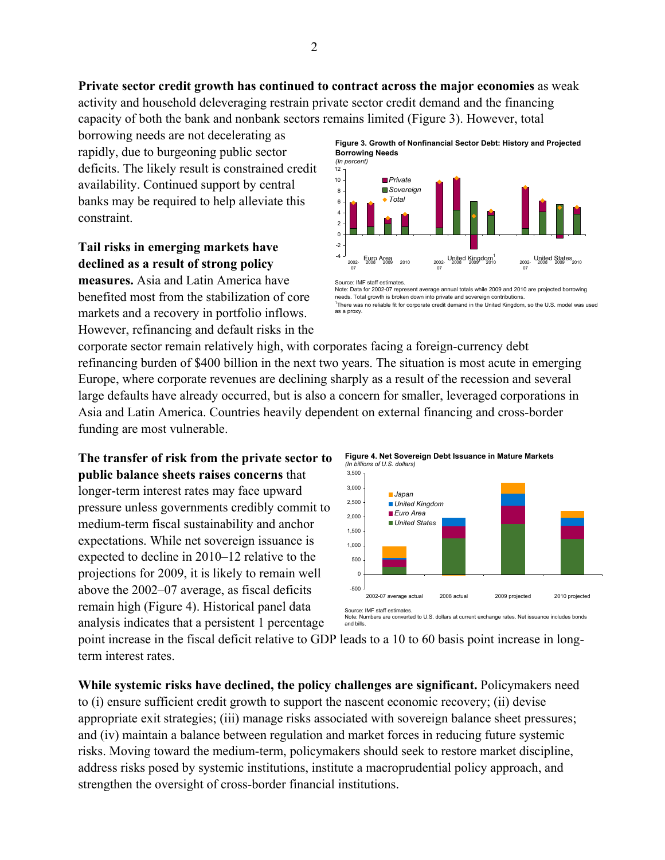**Private sector credit growth has continued to contract across the major economies** as weak activity and household deleveraging restrain private sector credit demand and the financing capacity of both the bank and nonbank sectors remains limited (Figure 3). However, total

borrowing needs are not decelerating as rapidly, due to burgeoning public sector deficits. The likely result is constrained credit availability. Continued support by central banks may be required to help alleviate this constraint.

# **Tail risks in emerging markets have declined as a result of strong policy**

**measures.** Asia and Latin America have benefited most from the stabilization of core markets and a recovery in portfolio inflows. However, refinancing and default risks in the **Figure 3. Growth of Nonfinancial Sector Debt: History and Projected Borrowing Needs**



Source: IMF staff estimates. Note: Data for 2002-07 represent average annual totals while 2009 and 2010 are projected borrowing needs. Total growth is broken down into private and sovereign contributions. 1 There was no reliable fit for corporate credit demand in the United Kingdom, so the U.S. model was used as a proxy.

corporate sector remain relatively high, with corporates facing a foreign-currency debt refinancing burden of \$400 billion in the next two years. The situation is most acute in emerging Europe, where corporate revenues are declining sharply as a result of the recession and several large defaults have already occurred, but is also a concern for smaller, leveraged corporations in Asia and Latin America. Countries heavily dependent on external financing and cross-border funding are most vulnerable.

**The transfer of risk from the private sector to public balance sheets raises concerns** that longer-term interest rates may face upward pressure unless governments credibly commit to medium-term fiscal sustainability and anchor expectations. While net sovereign issuance is expected to decline in 2010–12 relative to the projections for 2009, it is likely to remain well above the 2002–07 average, as fiscal deficits remain high (Figure 4). Historical panel data analysis indicates that a persistent 1 percentage



point increase in the fiscal deficit relative to GDP leads to a 10 to 60 basis point increase in longterm interest rates.

**While systemic risks have declined, the policy challenges are significant.** Policymakers need to (i) ensure sufficient credit growth to support the nascent economic recovery; (ii) devise appropriate exit strategies; (iii) manage risks associated with sovereign balance sheet pressures; and (iv) maintain a balance between regulation and market forces in reducing future systemic risks. Moving toward the medium-term, policymakers should seek to restore market discipline, address risks posed by systemic institutions, institute a macroprudential policy approach, and strengthen the oversight of cross-border financial institutions.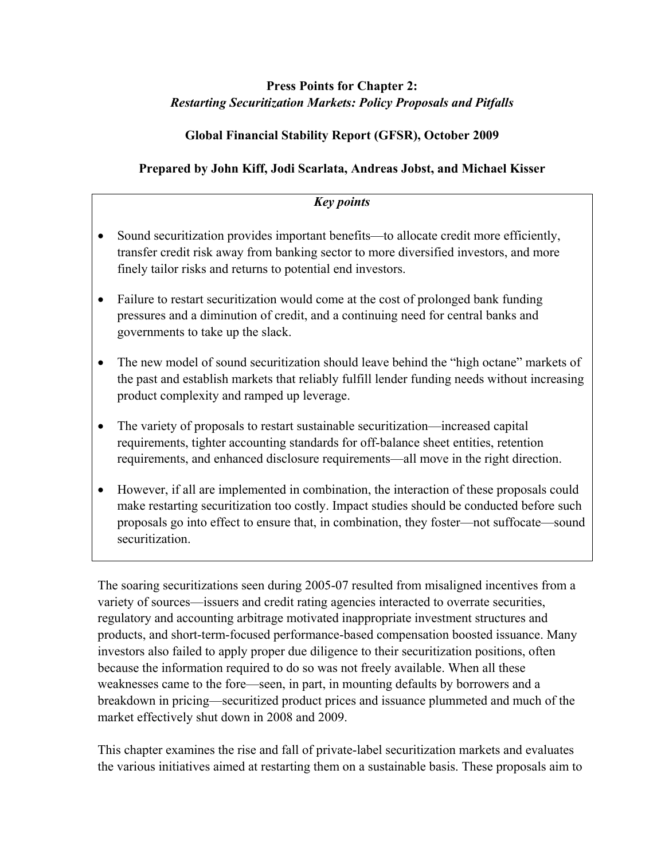### **Press Points for Chapter 2:**  *Restarting Securitization Markets: Policy Proposals and Pitfalls*

### **Global Financial Stability Report (GFSR), October 2009**

# **Prepared by John Kiff, Jodi Scarlata, Andreas Jobst, and Michael Kisser**

### *Key points*

- Sound securitization provides important benefits—to allocate credit more efficiently, transfer credit risk away from banking sector to more diversified investors, and more finely tailor risks and returns to potential end investors.
- Failure to restart securitization would come at the cost of prolonged bank funding pressures and a diminution of credit, and a continuing need for central banks and governments to take up the slack.
- The new model of sound securitization should leave behind the "high octane" markets of the past and establish markets that reliably fulfill lender funding needs without increasing product complexity and ramped up leverage.
- The variety of proposals to restart sustainable securitization—increased capital requirements, tighter accounting standards for off-balance sheet entities, retention requirements, and enhanced disclosure requirements—all move in the right direction.
- However, if all are implemented in combination, the interaction of these proposals could make restarting securitization too costly. Impact studies should be conducted before such proposals go into effect to ensure that, in combination, they foster—not suffocate—sound securitization.

The soaring securitizations seen during 2005-07 resulted from misaligned incentives from a variety of sources—issuers and credit rating agencies interacted to overrate securities, regulatory and accounting arbitrage motivated inappropriate investment structures and products, and short-term-focused performance-based compensation boosted issuance. Many investors also failed to apply proper due diligence to their securitization positions, often because the information required to do so was not freely available. When all these weaknesses came to the fore—seen, in part, in mounting defaults by borrowers and a breakdown in pricing—securitized product prices and issuance plummeted and much of the market effectively shut down in 2008 and 2009.

This chapter examines the rise and fall of private-label securitization markets and evaluates the various initiatives aimed at restarting them on a sustainable basis. These proposals aim to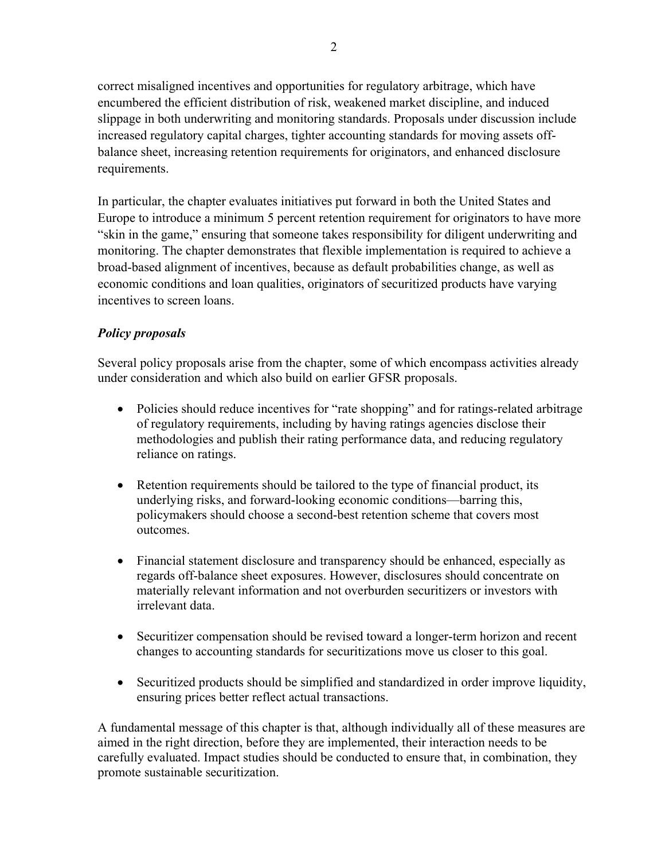correct misaligned incentives and opportunities for regulatory arbitrage, which have encumbered the efficient distribution of risk, weakened market discipline, and induced slippage in both underwriting and monitoring standards. Proposals under discussion include increased regulatory capital charges, tighter accounting standards for moving assets offbalance sheet, increasing retention requirements for originators, and enhanced disclosure requirements.

In particular, the chapter evaluates initiatives put forward in both the United States and Europe to introduce a minimum 5 percent retention requirement for originators to have more "skin in the game," ensuring that someone takes responsibility for diligent underwriting and monitoring. The chapter demonstrates that flexible implementation is required to achieve a broad-based alignment of incentives, because as default probabilities change, as well as economic conditions and loan qualities, originators of securitized products have varying incentives to screen loans.

#### *Policy proposals*

Several policy proposals arise from the chapter, some of which encompass activities already under consideration and which also build on earlier GFSR proposals.

- Policies should reduce incentives for "rate shopping" and for ratings-related arbitrage of regulatory requirements, including by having ratings agencies disclose their methodologies and publish their rating performance data, and reducing regulatory reliance on ratings.
- Retention requirements should be tailored to the type of financial product, its underlying risks, and forward-looking economic conditions—barring this, policymakers should choose a second-best retention scheme that covers most outcomes.
- Financial statement disclosure and transparency should be enhanced, especially as regards off-balance sheet exposures. However, disclosures should concentrate on materially relevant information and not overburden securitizers or investors with irrelevant data.
- Securitizer compensation should be revised toward a longer-term horizon and recent changes to accounting standards for securitizations move us closer to this goal.
- Securitized products should be simplified and standardized in order improve liquidity, ensuring prices better reflect actual transactions.

A fundamental message of this chapter is that, although individually all of these measures are aimed in the right direction, before they are implemented, their interaction needs to be carefully evaluated. Impact studies should be conducted to ensure that, in combination, they promote sustainable securitization.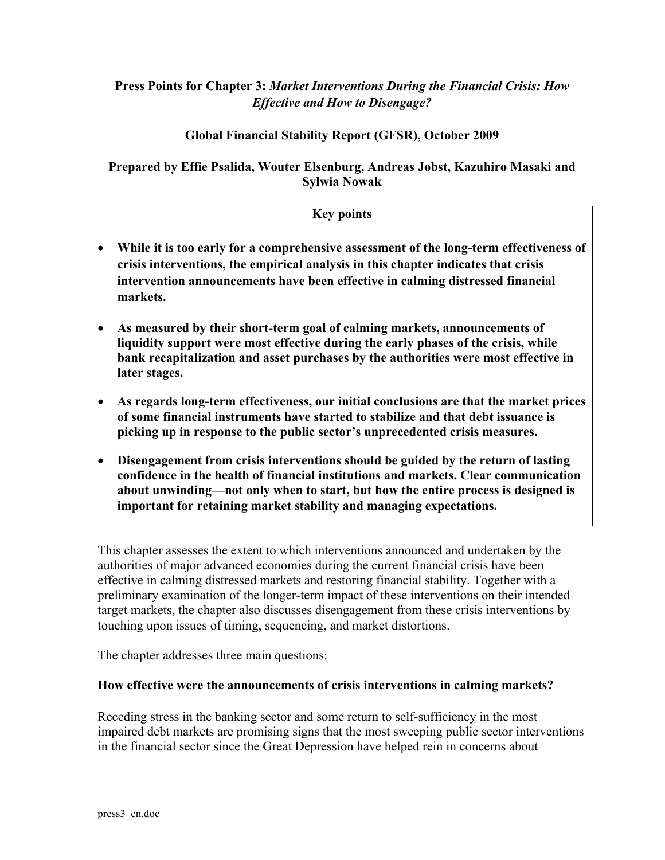#### **Press Points for Chapter 3:** *Market Interventions During the Financial Crisis: How Effective and How to Disengage?*

#### **Global Financial Stability Report (GFSR), October 2009**

#### **Prepared by Effie Psalida, Wouter Elsenburg, Andreas Jobst, Kazuhiro Masaki and Sylwia Nowak**

#### **Key points**

- **While it is too early for a comprehensive assessment of the long-term effectiveness of crisis interventions, the empirical analysis in this chapter indicates that crisis intervention announcements have been effective in calming distressed financial markets.**
- **As measured by their short-term goal of calming markets, announcements of liquidity support were most effective during the early phases of the crisis, while bank recapitalization and asset purchases by the authorities were most effective in later stages.**
- **As regards long-term effectiveness, our initial conclusions are that the market prices of some financial instruments have started to stabilize and that debt issuance is picking up in response to the public sector's unprecedented crisis measures.**
- **Disengagement from crisis interventions should be guided by the return of lasting confidence in the health of financial institutions and markets. Clear communication about unwinding—not only when to start, but how the entire process is designed is important for retaining market stability and managing expectations.**

This chapter assesses the extent to which interventions announced and undertaken by the authorities of major advanced economies during the current financial crisis have been effective in calming distressed markets and restoring financial stability. Together with a preliminary examination of the longer-term impact of these interventions on their intended target markets, the chapter also discusses disengagement from these crisis interventions by touching upon issues of timing, sequencing, and market distortions.

The chapter addresses three main questions:

#### **How effective were the announcements of crisis interventions in calming markets?**

Receding stress in the banking sector and some return to self-sufficiency in the most impaired debt markets are promising signs that the most sweeping public sector interventions in the financial sector since the Great Depression have helped rein in concerns about